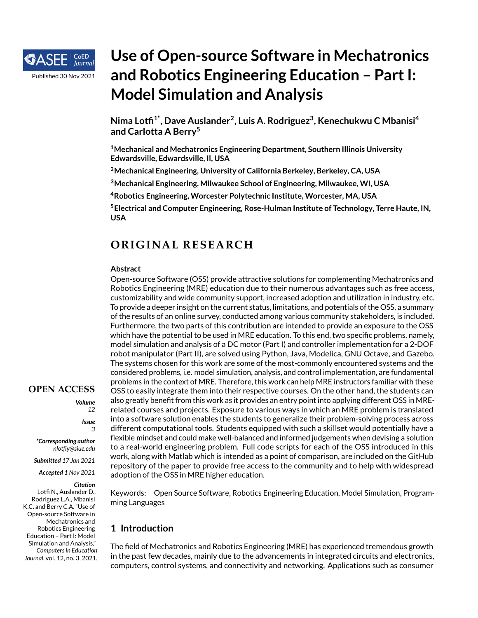

# **Use of Open-source Software in Mechatronics and Robotics Engineering Education – Part I: Model Simulation and Analysis**

**Nima Lotfi 1\*, Dave Auslander<sup>2</sup> , Luis A. Rodriguez<sup>3</sup> , Kenechukwu C Mbanisi<sup>4</sup> and Carlotta A Berry<sup>5</sup>**

**<sup>1</sup>Mechanical and Mechatronics Engineering Department, Southern Illinois University Edwardsville, Edwardsville, Il, USA**

**<sup>2</sup>Mechanical Engineering, University of California Berkeley, Berkeley, CA, USA**

**<sup>3</sup>Mechanical Engineering, Milwaukee School of Engineering, Milwaukee, WI, USA**

**<sup>4</sup>Robotics Engineering, Worcester Polytechnic Institute, Worcester, MA, USA**

**<sup>5</sup>Electrical and Computer Engineering, Rose-Hulman Institute of Technology, Terre Haute, IN, USA**

# **OR IG INAL RESEARCH**

## **Abstract**

Open-source Software (OSS) provide attractive solutions for complementing Mechatronics and Robotics Engineering (MRE) education due to their numerous advantages such as free access, customizability and wide community support, increased adoption and utilization in industry, etc. To provide a deeper insight on the current status, limitations, and potentials of the OSS, a summary of the results of an online survey, conducted among various community stakeholders, is included. Furthermore, the two parts of this contribution are intended to provide an exposure to the OSS which have the potential to be used in MRE education. To this end, two specific problems, namely, model simulation and analysis of a DC motor (Part I) and controller implementation for a 2-DOF robot manipulator (Part II), are solved using Python, Java, Modelica, GNU Octave, and Gazebo. The systems chosen for this work are some of the most-commonly encountered systems and the considered problems, i.e. model simulation, analysis, and control implementation, are fundamental problems in the context of MRE. Therefore, this work can help MRE instructors familiar with these OSS to easily integrate them into their respective courses. On the other hand, the students can also greatly benefit from this work as it provides an entry point into applying different OSS in MRErelated courses and projects. Exposure to various ways in which an MRE problem is translated into a software solution enables the students to generalize their problem-solving process across different computational tools. Students equipped with such a skillset would potentially have a flexible mindset and could make well-balanced and informed judgements when devising a solution to a real-world engineering problem. Full code scripts for each of the OSS introduced in this work, along with Matlab which is intended as a point of comparison, are included on the GitHub repository of the paper to provide free access to the community and to help with widespread adoption of the OSS in MRE higher education.

Keywords: Open Source Software, Robotics Engineering Education, Model Simulation, Programming Languages

# **1 Introduction**

The field of Mechatronics and Robotics Engineering (MRE) has experienced tremendous growth in the past few decades, mainly due to the advancements in integrated circuits and electronics, computers, control systems, and connectivity and networking. Applications such as consumer

## **OPEN ACCESS**

*Volume*

*12 Issue*

*3*

*\*Corresponding author nlotfiy@siue.edu*

*Submitted 17 Jan 2021*

*Accepted 1 Nov 2021*

#### *Citation*

Lotfi N., Auslander D., Rodriguez L.A., Mbanisi K.C. and Berry C.A. "Use of Open-source Software in Mechatronics and Robotics Engineering Education – Part I: Model Simulation and Analysis," *Computersin Education Journal*, vol. 12, no. 3, 2021.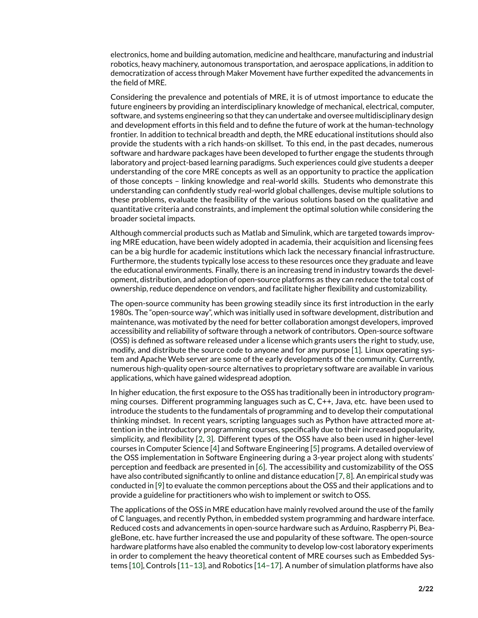electronics, home and building automation, medicine and healthcare, manufacturing and industrial robotics, heavy machinery, autonomous transportation, and aerospace applications, in addition to democratization of access through Maker Movement have further expedited the advancements in the field of MRE.

Considering the prevalence and potentials of MRE, it is of utmost importance to educate the future engineers by providing an interdisciplinary knowledge of mechanical, electrical, computer, software, and systems engineering so that they can undertake and oversee multidisciplinary design and development efforts in this field and to define the future of work at the human-technology frontier. In addition to technical breadth and depth, the MRE educational institutions should also provide the students with a rich hands-on skillset. To this end, in the past decades, numerous software and hardware packages have been developed to further engage the students through laboratory and project-based learning paradigms. Such experiences could give students a deeper understanding of the core MRE concepts as well as an opportunity to practice the application of those concepts – linking knowledge and real-world skills. Students who demonstrate this understanding can confidently study real-world global challenges, devise multiple solutions to these problems, evaluate the feasibility of the various solutions based on the qualitative and quantitative criteria and constraints, and implement the optimal solution while considering the broader societal impacts.

Although commercial products such as Matlab and Simulink, which are targeted towards improving MRE education, have been widely adopted in academia, their acquisition and licensing fees can be a big hurdle for academic institutions which lack the necessary financial infrastructure. Furthermore, the students typically lose access to these resources once they graduate and leave the educational environments. Finally, there is an increasing trend in industry towards the development, distribution, and adoption of open-source platforms as they can reduce the total cost of ownership, reduce dependence on vendors, and facilitate higher flexibility and customizability.

The open-source community has been growing steadily since its first introduction in the early 1980s. The "open-source way", which was initially used in software development, distribution and maintenance, was motivated by the need for better collaboration amongst developers, improved accessibility and reliability of software through a network of contributors. Open-source software (OSS) is defined as software released under a license which grants users the right to study, use, modify, and distribute the source code to anyone and for any purpose [\[1\]](#page-17-0). Linux operating system and Apache Web server are some of the early developments of the community. Currently, numerous high-quality open-source alternatives to proprietary software are available in various applications, which have gained widespread adoption.

In higher education, the first exposure to the OSS has traditionally been in introductory programming courses. Different programming languages such as C, C++, Java, etc. have been used to introduce the students to the fundamentals of programming and to develop their computational thinking mindset. In recent years, scripting languages such as Python have attracted more attention in the introductory programming courses, specifically due to their increased popularity, simplicity, and flexibility [\[2,](#page-17-1) [3\]](#page-17-2). Different types of the OSS have also been used in higher-level courses in Computer Science [\[4\]](#page-17-3) and Software Engineering [\[5\]](#page-17-4) programs. A detailed overview of the OSS implementation in Software Engineering during a 3-year project along with students' perception and feedback are presented in [\[6\]](#page-17-5). The accessibility and customizability of the OSS have also contributed significantly to online and distance education [\[7,](#page-17-6) [8\]](#page-17-7). An empirical study was conducted in [\[9\]](#page-18-0) to evaluate the common perceptions about the OSS and their applications and to provide a guideline for practitioners who wish to implement or switch to OSS.

The applications of the OSS in MRE education have mainly revolved around the use of the family of C languages, and recently Python, in embedded system programming and hardware interface. Reduced costs and advancements in open-source hardware such as Arduino, Raspberry Pi, BeagleBone, etc. have further increased the use and popularity of these software. The open-source hardware platforms have also enabled the community to develop low-cost laboratory experiments in order to complement the heavy theoretical content of MRE courses such as Embedded Systems [\[10\]](#page-18-1), Controls [\[11](#page-18-2)[–13\]](#page-18-3), and Robotics [\[14](#page-18-4)[–17\]](#page-18-5). A number of simulation platforms have also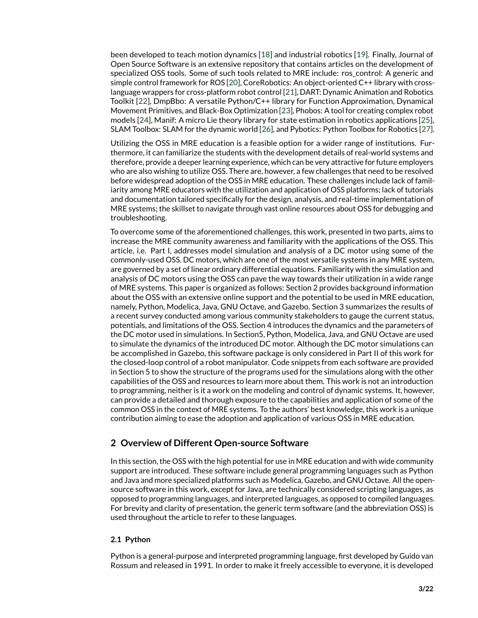been developed to teach motion dynamics [\[18\]](#page-18-6) and industrial robotics [\[19\]](#page-18-7). Finally, Journal of Open Source Software is an extensive repository that contains articles on the development of specialized OSS tools. Some of such tools related to MRE include: ros\_control: A generic and simple control framework for ROS [\[20\]](#page-18-8), CoreRobotics: An object-oriented C++ library with crosslanguage wrappers for cross-platform robot control [\[21\]](#page-18-9), DART: Dynamic Animation and Robotics Toolkit [\[22\]](#page-18-10), DmpBbo: A versatile Python/C++ library for Function Approximation, Dynamical Movement Primitives, and Black-Box Optimization [\[23\]](#page-18-11), Phobos: A tool for creating complex robot models [\[24\]](#page-18-12), Manif: A micro Lie theory library for state estimation in robotics applications [\[25\]](#page-18-13), SLAM Toolbox: SLAM for the dynamic world [\[26\]](#page-18-14), and Pybotics: Python Toolbox for Robotics [\[27\]](#page-19-0).

Utilizing the OSS in MRE education is a feasible option for a wider range of institutions. Furthermore, it can familiarize the students with the development details of real-world systems and therefore, provide a deeper learning experience, which can be very attractive for future employers who are also wishing to utilize OSS. There are, however, a few challenges that need to be resolved before widespread adoption of the OSS in MRE education. These challenges include lack of familiarity among MRE educators with the utilization and application of OSS platforms; lack of tutorials and documentation tailored specifically for the design, analysis, and real-time implementation of MRE systems; the skillset to navigate through vast online resources about OSS for debugging and troubleshooting.

To overcome some of the aforementioned challenges, this work, presented in two parts, aims to increase the MRE community awareness and familiarity with the applications of the OSS. This article, i.e. Part I, addresses model simulation and analysis of a DC motor using some of the commonly-used OSS. DC motors, which are one of the most versatile systems in any MRE system, are governed by a set of linear ordinary differential equations. Familiarity with the simulation and analysis of DC motors using the OSS can pave the way towards their utilization in a wide range of MRE systems. This paper is organized as follows: Section 2 provides background information about the OSS with an extensive online support and the potential to be used in MRE education, namely, Python, Modelica, Java, GNU Octave, and Gazebo. Section 3 summarizes the results of a recent survey conducted among various community stakeholders to gauge the current status, potentials, and limitations of the OSS. Section 4 introduces the dynamics and the parameters of the DC motor used in simulations. In Section5, Python, Modelica, Java, and GNU Octave are used to simulate the dynamics of the introduced DC motor. Although the DC motor simulations can be accomplished in Gazebo, this software package is only considered in Part II of this work for the closed-loop control of a robot manipulator. Code snippets from each software are provided in Section 5 to show the structure of the programs used for the simulations along with the other capabilities of the OSS and resources to learn more about them. This work is not an introduction to programming, neither is it a work on the modeling and control of dynamic systems. It, however, can provide a detailed and thorough exposure to the capabilities and application of some of the common OSS in the context of MRE systems. To the authors' best knowledge, this work is a unique contribution aiming to ease the adoption and application of various OSS in MRE education.

# **2 Overview of Different Open-source Software**

In this section, the OSS with the high potential for use in MRE education and with wide community support are introduced. These software include general programming languages such as Python and Java and more specialized platforms such as Modelica, Gazebo, and GNU Octave. All the opensource software in this work, except for Java, are technically considered scripting languages, as opposed to programming languages, and interpreted languages, as opposed to compiled languages. For brevity and clarity of presentation, the generic term software (and the abbreviation OSS) is used throughout the article to refer to these languages.

## **2.1 Python**

Python is a general-purpose and interpreted programming language, first developed by Guido van Rossum and released in 1991. In order to make it freely accessible to everyone, it is developed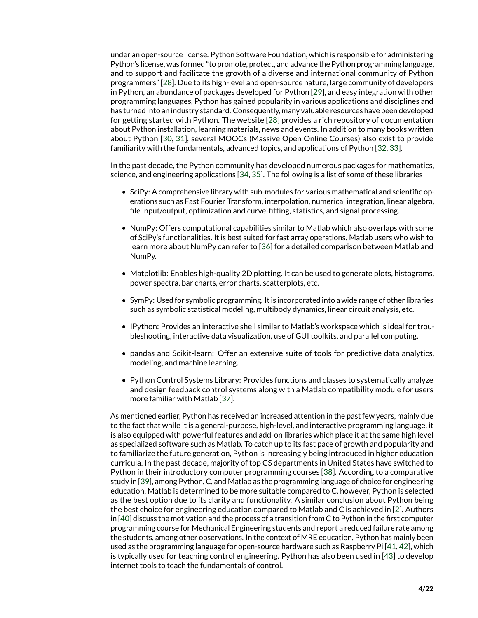under an open-source license. Python Software Foundation, which is responsible for administering Python's license, was formed "to promote, protect, and advance the Python programming language, and to support and facilitate the growth of a diverse and international community of Python programmers" [\[28\]](#page-19-1). Due to its high-level and open-source nature, large community of developers in Python, an abundance of packages developed for Python [\[29\]](#page-19-2), and easy integration with other programming languages, Python has gained popularity in various applications and disciplines and has turned into an industry standard. Consequently, many valuable resources have been developed for getting started with Python. The website [\[28\]](#page-19-1) provides a rich repository of documentation about Python installation, learning materials, news and events. In addition to many books written about Python [\[30,](#page-19-3) [31\]](#page-19-4), several MOOCs (Massive Open Online Courses) also exist to provide familiarity with the fundamentals, advanced topics, and applications of Python [\[32,](#page-19-5) [33\]](#page-19-6).

In the past decade, the Python community has developed numerous packages for mathematics, science, and engineering applications [\[34,](#page-19-7) [35\]](#page-19-8). The following is a list of some of these libraries

- SciPy: A comprehensive library with sub-modules for various mathematical and scientific operations such as Fast Fourier Transform, interpolation, numerical integration, linear algebra, file input/output, optimization and curve-fitting, statistics, and signal processing.
- NumPy: Offers computational capabilities similar to Matlab which also overlaps with some of SciPy's functionalities. It is best suited for fast array operations. Matlab users who wish to learn more about NumPy can refer to [\[36\]](#page-19-9) for a detailed comparison between Matlab and NumPy.
- Matplotlib: Enables high-quality 2D plotting. It can be used to generate plots, histograms, power spectra, bar charts, error charts, scatterplots, etc.
- SymPy: Used for symbolic programming. It is incorporated into a wide range of other libraries such as symbolic statistical modeling, multibody dynamics, linear circuit analysis, etc.
- IPython: Provides an interactive shell similar to Matlab's workspace which is ideal for troubleshooting, interactive data visualization, use of GUI toolkits, and parallel computing.
- pandas and Scikit-learn: Offer an extensive suite of tools for predictive data analytics, modeling, and machine learning.
- Python Control Systems Library: Provides functions and classes to systematically analyze and design feedback control systems along with a Matlab compatibility module for users more familiar with Matlab [\[37\]](#page-19-10).

As mentioned earlier, Python has received an increased attention in the past few years, mainly due to the fact that while it is a general-purpose, high-level, and interactive programming language, it is also equipped with powerful features and add-on libraries which place it at the same high level as specialized software such as Matlab. To catch up to its fast pace of growth and popularity and to familiarize the future generation, Python is increasingly being introduced in higher education curricula. In the past decade, majority of top CS departments in United States have switched to Python in their introductory computer programming courses [\[38\]](#page-19-11). According to a comparative study in [\[39\]](#page-19-12), among Python, C, and Matlab as the programming language of choice for engineering education, Matlab is determined to be more suitable compared to C, however, Python is selected as the best option due to its clarity and functionality. A similar conclusion about Python being the best choice for engineering education compared to Matlab and C is achieved in [\[2\]](#page-17-1). Authors in [\[40\]](#page-19-13) discuss the motivation and the process of a transition from C to Python in the first computer programming course for Mechanical Engineering students and report a reduced failure rate among the students, among other observations. In the context of MRE education, Python has mainly been used as the programming language for open-source hardware such as Raspberry Pi [\[41,](#page-19-14) [42\]](#page-19-15), which is typically used for teaching control engineering. Python has also been used in [\[43\]](#page-19-16) to develop internet tools to teach the fundamentals of control.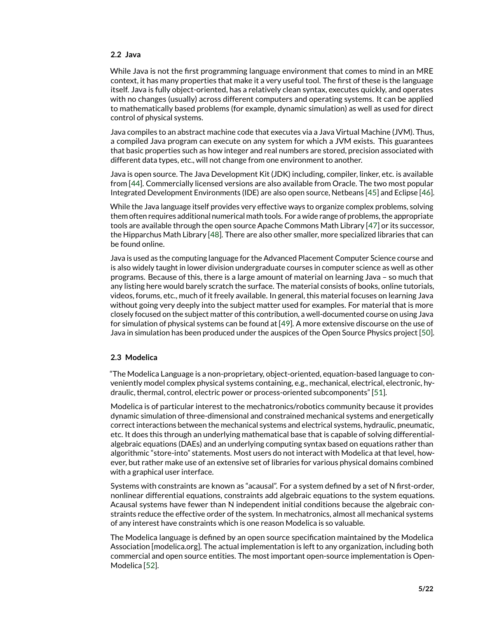#### **2.2 Java**

While Java is not the first programming language environment that comes to mind in an MRE context, it has many properties that make it a very useful tool. The first of these is the language itself. Java is fully object-oriented, has a relatively clean syntax, executes quickly, and operates with no changes (usually) across different computers and operating systems. It can be applied to mathematically based problems (for example, dynamic simulation) as well as used for direct control of physical systems.

Java compiles to an abstract machine code that executes via a Java Virtual Machine (JVM). Thus, a compiled Java program can execute on any system for which a JVM exists. This guarantees that basic properties such as how integer and real numbers are stored, precision associated with different data types, etc., will not change from one environment to another.

Java is open source. The Java Development Kit (JDK) including, compiler, linker, etc. is available from [\[44\]](#page-19-17). Commercially licensed versions are also available from Oracle. The two most popular Integrated Development Environments (IDE) are also open source, Netbeans [\[45\]](#page-19-18) and Eclipse [\[46\]](#page-19-19).

While the Java language itself provides very effective ways to organize complex problems, solving them often requires additional numerical math tools. For a wide range of problems, the appropriate tools are available through the open source Apache Commons Math Library [\[47\]](#page-19-20) or its successor, the Hipparchus Math Library [\[48\]](#page-20-0). There are also other smaller, more specialized libraries that can be found online.

Java is used as the computing language for the Advanced Placement Computer Science course and is also widely taught in lower division undergraduate courses in computer science as well as other programs. Because of this, there is a large amount of material on learning Java – so much that any listing here would barely scratch the surface. The material consists of books, online tutorials, videos, forums, etc., much of it freely available. In general, this material focuses on learning Java without going very deeply into the subject matter used for examples. For material that is more closely focused on the subject matter of this contribution, a well-documented course on using Java for simulation of physical systems can be found at [\[49\]](#page-20-1). A more extensive discourse on the use of Java in simulation has been produced under the auspices of the Open Source Physics project [\[50\]](#page-20-2).

## **2.3 Modelica**

"The Modelica Language is a non-proprietary, object-oriented, equation-based language to conveniently model complex physical systems containing, e.g., mechanical, electrical, electronic, hydraulic, thermal, control, electric power or process-oriented subcomponents" [\[51\]](#page-20-3).

Modelica is of particular interest to the mechatronics/robotics community because it provides dynamic simulation of three-dimensional and constrained mechanical systems and energetically correct interactions between the mechanical systems and electrical systems, hydraulic, pneumatic, etc. It does this through an underlying mathematical base that is capable of solving differentialalgebraic equations (DAEs) and an underlying computing syntax based on equations rather than algorithmic "store-into" statements. Most users do not interact with Modelica at that level, however, but rather make use of an extensive set of libraries for various physical domains combined with a graphical user interface.

Systems with constraints are known as "acausal". For a system defined by a set of N first-order, nonlinear differential equations, constraints add algebraic equations to the system equations. Acausal systems have fewer than N independent initial conditions because the algebraic constraints reduce the effective order of the system. In mechatronics, almost all mechanical systems of any interest have constraints which is one reason Modelica is so valuable.

The Modelica language is defined by an open source specification maintained by the Modelica Association [modelica.org]. The actual implementation is left to any organization, including both commercial and open source entities. The most important open-source implementation is Open-Modelica [\[52\]](#page-20-4).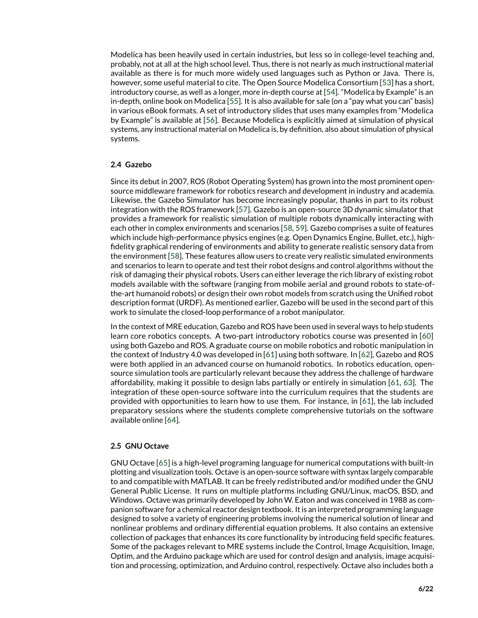Modelica has been heavily used in certain industries, but less so in college-level teaching and, probably, not at all at the high school level. Thus, there is not nearly as much instructional material available as there is for much more widely used languages such as Python or Java. There is, however, some useful material to cite. The Open Source Modelica Consortium [\[53\]](#page-20-5) has a short, introductory course, as well as a longer, more in-depth course at [\[54\]](#page-20-6). "Modelica by Example" is an in-depth, online book on Modelica [\[55\]](#page-20-7). It is also available for sale (on a "pay what you can" basis) in various eBook formats. A set of introductory slides that uses many examples from "Modelica by Example" is available at [\[56\]](#page-20-8). Because Modelica is explicitly aimed at simulation of physical systems, any instructional material on Modelica is, by definition, also about simulation of physical systems.

## **2.4 Gazebo**

Since its debut in 2007, ROS (Robot Operating System) has grown into the most prominent opensource middleware framework for robotics research and development in industry and academia. Likewise, the Gazebo Simulator has become increasingly popular, thanks in part to its robust integration with the ROS framework [\[57\]](#page-20-9). Gazebo is an open-source 3D dynamic simulator that provides a framework for realistic simulation of multiple robots dynamically interacting with each other in complex environments and scenarios [\[58,](#page-20-10) [59\]](#page-20-11). Gazebo comprises a suite of features which include high-performance physics engines (e.g. Open Dynamics Engine, Bullet, etc.), highfidelity graphical rendering of environments and ability to generate realistic sensory data from the environment [\[58\]](#page-20-10). These features allow users to create very realistic simulated environments and scenarios to learn to operate and test their robot designs and control algorithms without the risk of damaging their physical robots. Users can either leverage the rich library of existing robot models available with the software (ranging from mobile aerial and ground robots to state-ofthe-art humanoid robots) or design their own robot models from scratch using the Unified robot description format (URDF). As mentioned earlier, Gazebo will be used in the second part of this work to simulate the closed-loop performance of a robot manipulator.

In the context of MRE education, Gazebo and ROS have been used in several ways to help students learn core robotics concepts. A two-part introductory robotics course was presented in [\[60\]](#page-20-12) using both Gazebo and ROS. A graduate course on mobile robotics and robotic manipulation in the context of Industry 4.0 was developed in [\[61\]](#page-20-13) using both software. In [\[62\]](#page-20-14), Gazebo and ROS were both applied in an advanced course on humanoid robotics. In robotics education, opensource simulation tools are particularly relevant because they address the challenge of hardware affordability, making it possible to design labs partially or entirely in simulation [\[61,](#page-20-13) [63\]](#page-20-15). The integration of these open-source software into the curriculum requires that the students are provided with opportunities to learn how to use them. For instance, in [\[61\]](#page-20-13), the lab included preparatory sessions where the students complete comprehensive tutorials on the software available online [\[64\]](#page-20-16).

## **2.5 GNU Octave**

GNU Octave [\[65\]](#page-20-17) is a high-level programing language for numerical computations with built-in plotting and visualization tools. Octave is an open-source software with syntax largely comparable to and compatible with MATLAB. It can be freely redistributed and/or modified under the GNU General Public License. It runs on multiple platforms including GNU/Linux, macOS, BSD, and Windows. Octave was primarily developed by John W. Eaton and was conceived in 1988 as companion software for a chemical reactor design textbook. It is an interpreted programming language designed to solve a variety of engineering problems involving the numerical solution of linear and nonlinear problems and ordinary differential equation problems. It also contains an extensive collection of packages that enhances its core functionality by introducing field specific features. Some of the packages relevant to MRE systems include the Control, Image Acquisition, Image, Optim, and the Arduino package which are used for control design and analysis, image acquisition and processing, optimization, and Arduino control, respectively. Octave also includes both a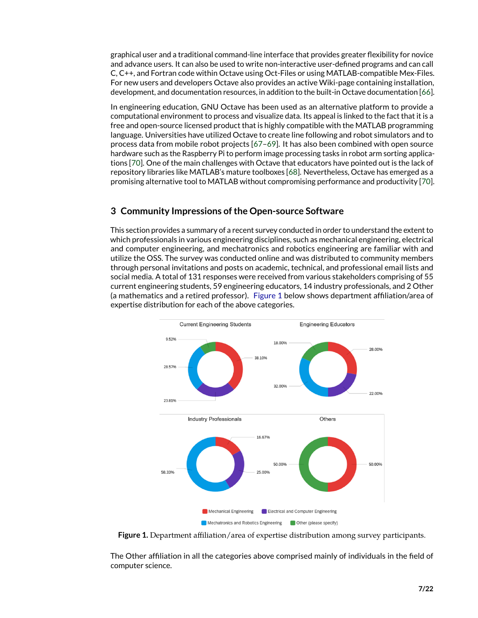graphical user and a traditional command-line interface that provides greater flexibility for novice and advance users. It can also be used to write non-interactive user-defined programs and can call C, C++, and Fortran code within Octave using Oct-Files or using MATLAB-compatible Mex-Files. For new users and developers Octave also provides an active Wiki-page containing installation, development, and documentation resources, in addition to the built-in Octave documentation [\[66\]](#page-20-18).

In engineering education, GNU Octave has been used as an alternative platform to provide a computational environment to process and visualize data. Its appeal is linked to the fact that it is a free and open-source licensed product that is highly compatible with the MATLAB programming language. Universities have utilized Octave to create line following and robot simulators and to process data from mobile robot projects [\[67](#page-20-19)[–69\]](#page-21-0). It has also been combined with open source hardware such as the Raspberry Pi to perform image processing tasks in robot arm sorting applications [\[70\]](#page-21-1). One of the main challenges with Octave that educators have pointed out is the lack of repository libraries like MATLAB's mature toolboxes [\[68\]](#page-21-2). Nevertheless, Octave has emerged as a promising alternative tool to MATLAB without compromising performance and productivity [\[70\]](#page-21-1).

# **3 Community Impressions of the Open-source Software**

This section provides a summary of a recent survey conducted in order to understand the extent to which professionals in various engineering disciplines, such as mechanical engineering, electrical and computer engineering, and mechatronics and robotics engineering are familiar with and utilize the OSS. The survey was conducted online and was distributed to community members through personal invitations and posts on academic, technical, and professional email lists and social media. A total of 131 responses were received from various stakeholders comprising of 55 current engineering students, 59 engineering educators, 14 industry professionals, and 2 Other (a mathematics and a retired professor). [Figure 1](#page-6-0) below shows department affiliation/area of expertise distribution for each of the above categories.



<span id="page-6-0"></span>**Figure 1.** Department affiliation/area of expertise distribution among survey participants.

The Other affiliation in all the categories above comprised mainly of individuals in the field of computer science.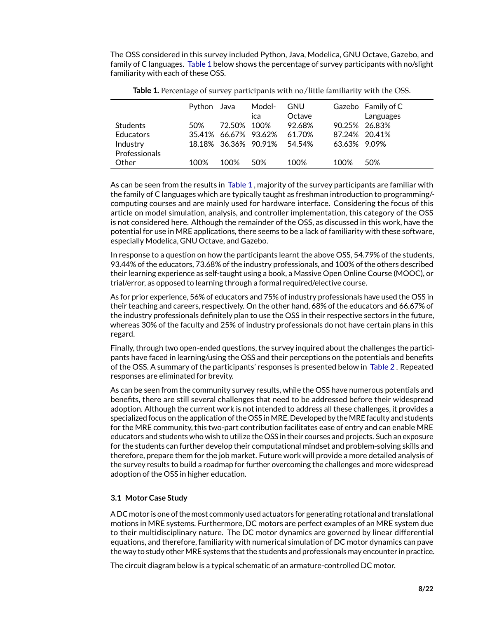The OSS considered in this survey included Python, Java, Modelica, GNU Octave, Gazebo, and family of C languages. [Table 1](#page-7-0) below shows the percentage of survey participants with no/slight familiarity with each of these OSS.

|                  | Python Java |                      | Model- | <b>GNU</b> |              | Gazebo Family of C |
|------------------|-------------|----------------------|--------|------------|--------------|--------------------|
|                  |             |                      | ica    | Octave     |              | Languages          |
| <b>Students</b>  | 50%         | 72.50% 100%          |        | 92.68%     |              | 90.25% 26.83%      |
| <b>Educators</b> |             | 35.41% 66.67% 93.62% |        | 61.70%     |              | 87.24% 20.41%      |
| Industry         |             | 18.18% 36.36% 90.91% |        | 54.54%     | 63.63% 9.09% |                    |
| Professionals    |             |                      |        |            |              |                    |
| Other            | 100%        | 100%                 | 50%    | 100%       | 100%         | 50%                |

<span id="page-7-0"></span>**Table 1.** Percentage of survey participants with no/little familiarity with the OSS.

As can be seen from the results in [Table 1](#page-7-0) , majority of the survey participants are familiar with the family of C languages which are typically taught as freshman introduction to programming/ computing courses and are mainly used for hardware interface. Considering the focus of this article on model simulation, analysis, and controller implementation, this category of the OSS is not considered here. Although the remainder of the OSS, as discussed in this work, have the potential for use in MRE applications, there seems to be a lack of familiarity with these software, especially Modelica, GNU Octave, and Gazebo.

In response to a question on how the participants learnt the above OSS, 54.79% of the students, 93.44% of the educators, 73.68% of the industry professionals, and 100% of the others described their learning experience as self-taught using a book, a Massive Open Online Course (MOOC), or trial/error, as opposed to learning through a formal required/elective course.

As for prior experience, 56% of educators and 75% of industry professionals have used the OSS in their teaching and careers, respectively. On the other hand, 68% of the educators and 66.67% of the industry professionals definitely plan to use the OSS in their respective sectors in the future, whereas 30% of the faculty and 25% of industry professionals do not have certain plans in this regard.

Finally, through two open-ended questions, the survey inquired about the challenges the participants have faced in learning/using the OSS and their perceptions on the potentials and benefits of the OSS. A summary of the participants' responses is presented below in [Table 2](#page-8-0) . Repeated responses are eliminated for brevity.

As can be seen from the community survey results, while the OSS have numerous potentials and benefits, there are still several challenges that need to be addressed before their widespread adoption. Although the current work is not intended to address all these challenges, it provides a specialized focus on the application of the OSS in MRE. Developed by the MRE faculty and students for the MRE community, this two-part contribution facilitates ease of entry and can enable MRE educators and students who wish to utilize the OSS in their courses and projects. Such an exposure for the students can further develop their computational mindset and problem-solving skills and therefore, prepare them for the job market. Future work will provide a more detailed analysis of the survey results to build a roadmap for further overcoming the challenges and more widespread adoption of the OSS in higher education.

## **3.1 Motor Case Study**

A DC motor is one of the most commonly used actuators for generating rotational and translational motions in MRE systems. Furthermore, DC motors are perfect examples of an MRE system due to their multidisciplinary nature. The DC motor dynamics are governed by linear differential equations, and therefore, familiarity with numerical simulation of DC motor dynamics can pave the way to study other MRE systems that the students and professionals may encounter in practice.

The circuit diagram below is a typical schematic of an armature-controlled DC motor.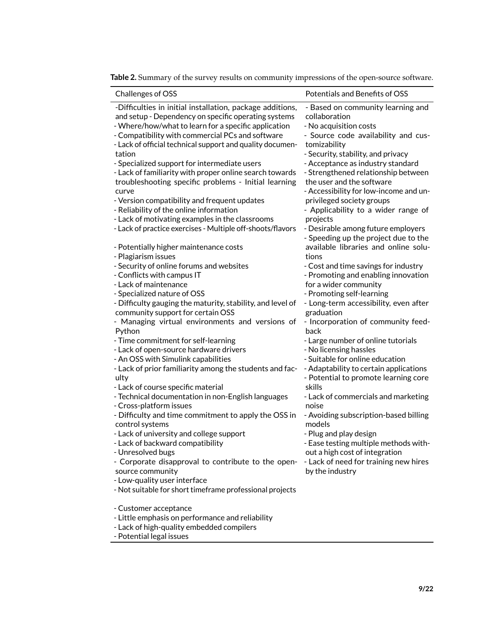| Challenges of OSS                                                                                                                                                                                                                                                                                                                                                                                                                                                                                                                                                                                                                                                                                                                                                                                                                                                                                                                                                                                                                                                                                                                                                                                                                                                                                                                                                                                                                                                                                                                                                                                                                                                                                                                                                | Potentials and Benefits of OSS                                                                                                                                                                                                                                                                                                                                                                                                                                                                                                                                                                                                                                                                                                                                                                                                                                                                                                                                                                                                                                                                                                                                                                                                                           |
|------------------------------------------------------------------------------------------------------------------------------------------------------------------------------------------------------------------------------------------------------------------------------------------------------------------------------------------------------------------------------------------------------------------------------------------------------------------------------------------------------------------------------------------------------------------------------------------------------------------------------------------------------------------------------------------------------------------------------------------------------------------------------------------------------------------------------------------------------------------------------------------------------------------------------------------------------------------------------------------------------------------------------------------------------------------------------------------------------------------------------------------------------------------------------------------------------------------------------------------------------------------------------------------------------------------------------------------------------------------------------------------------------------------------------------------------------------------------------------------------------------------------------------------------------------------------------------------------------------------------------------------------------------------------------------------------------------------------------------------------------------------|----------------------------------------------------------------------------------------------------------------------------------------------------------------------------------------------------------------------------------------------------------------------------------------------------------------------------------------------------------------------------------------------------------------------------------------------------------------------------------------------------------------------------------------------------------------------------------------------------------------------------------------------------------------------------------------------------------------------------------------------------------------------------------------------------------------------------------------------------------------------------------------------------------------------------------------------------------------------------------------------------------------------------------------------------------------------------------------------------------------------------------------------------------------------------------------------------------------------------------------------------------|
| -Difficulties in initial installation, package additions,<br>and setup - Dependency on specific operating systems<br>- Where/how/what to learn for a specific application<br>- Compatibility with commercial PCs and software<br>- Lack of official technical support and quality documen-<br>tation<br>- Specialized support for intermediate users<br>- Lack of familiarity with proper online search towards<br>troubleshooting specific problems - Initial learning<br>curve<br>- Version compatibility and frequent updates<br>- Reliability of the online information<br>- Lack of motivating examples in the classrooms<br>- Lack of practice exercises - Multiple off-shoots/flavors<br>- Potentially higher maintenance costs<br>- Plagiarism issues<br>- Security of online forums and websites<br>- Conflicts with campus IT<br>- Lack of maintenance<br>- Specialized nature of OSS<br>- Difficulty gauging the maturity, stability, and level of<br>community support for certain OSS<br>- Managing virtual environments and versions of<br>Python<br>- Time commitment for self-learning<br>- Lack of open-source hardware drivers<br>- An OSS with Simulink capabilities<br>- Lack of prior familiarity among the students and fac-<br>ulty<br>- Lack of course specific material<br>- Technical documentation in non-English languages<br>- Cross-platform issues<br>- Difficulty and time commitment to apply the OSS in<br>control systems<br>- Lack of university and college support<br>- Lack of backward compatibility<br>- Unresolved bugs<br>- Corporate disapproval to contribute to the open-<br>source community<br>- Low-quality user interface<br>- Not suitable for short timeframe professional projects<br>- Customer acceptance | - Based on community learning and<br>collaboration<br>- No acquisition costs<br>- Source code availability and cus-<br>tomizability<br>- Security, stability, and privacy<br>- Acceptance as industry standard<br>- Strengthened relationship between<br>the user and the software<br>- Accessibility for low-income and un-<br>privileged society groups<br>- Applicability to a wider range of<br>projects<br>- Desirable among future employers<br>- Speeding up the project due to the<br>available libraries and online solu-<br>tions<br>- Cost and time savings for industry<br>- Promoting and enabling innovation<br>for a wider community<br>- Promoting self-learning<br>- Long-term accessibility, even after<br>graduation<br>- Incorporation of community feed-<br>back<br>- Large number of online tutorials<br>- No licensing hassles<br>- Suitable for online education<br>- Adaptability to certain applications<br>- Potential to promote learning core<br>skills<br>- Lack of commercials and marketing<br>noise<br>- Avoiding subscription-based billing<br>models<br>- Plug and play design<br>- Ease testing multiple methods with-<br>out a high cost of integration<br>- Lack of need for training new hires<br>by the industry |
|                                                                                                                                                                                                                                                                                                                                                                                                                                                                                                                                                                                                                                                                                                                                                                                                                                                                                                                                                                                                                                                                                                                                                                                                                                                                                                                                                                                                                                                                                                                                                                                                                                                                                                                                                                  |                                                                                                                                                                                                                                                                                                                                                                                                                                                                                                                                                                                                                                                                                                                                                                                                                                                                                                                                                                                                                                                                                                                                                                                                                                                          |

<span id="page-8-0"></span>**Table 2.** Summary of the survey results on community impressions of the open-source software.

- Little emphasis on performance and reliability

- Lack of high-quality embedded compilers
- Potential legal issues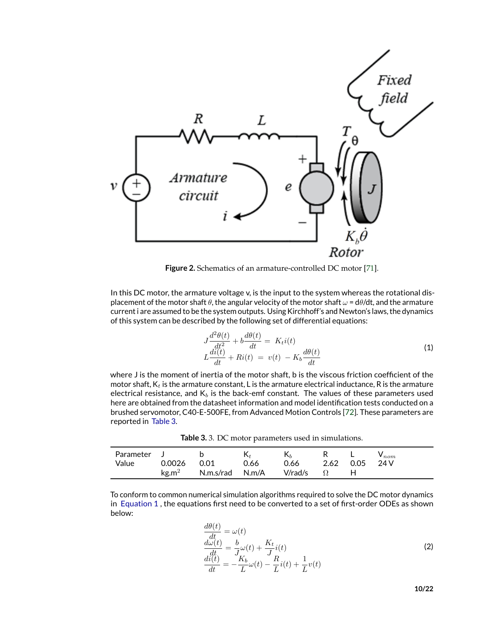

**Figure 2.** Schematics of an armature-controlled DC motor [\[71\]](#page-21-3).

In this DC motor, the armature voltage v, is the input to the system whereas the rotational displacement of the motor shaft  $\theta$ , the angular velocity of the motor shaft  $\omega = d\theta/dt$ , and the armature current i are assumed to be the system outputs. Using Kirchhoff's and Newton's laws, the dynamics of this system can be described by the following set of differential equations:

<span id="page-9-1"></span>
$$
J\frac{d^2\theta(t)}{dt^2} + b\frac{d\theta(t)}{dt} = K_t i(t)
$$
  

$$
L\frac{di(t)}{dt} + Ri(t) = v(t) - K_b \frac{d\theta(t)}{dt}
$$
 (1)

where J is the moment of inertia of the motor shaft, b is the viscous friction coefficient of the motor shaft,  $K_t$  is the armature constant, L is the armature electrical inductance, R is the armature electrical resistance, and  $K_b$  is the back-emf constant. The values of these parameters used here are obtained from the datasheet information and model identification tests conducted on a brushed servomotor, C40-E-500FE, from Advanced Motion Controls [\[72\]](#page-21-4). These parameters are reported in [Table 3.](#page-9-0)

<span id="page-9-0"></span>**Table 3.** 3. DC motor parameters used in simulations.

| Parameter J |             |                                 |      | $\mathsf{K}_{h}$ | R L       | $V_{nom.}$ |
|-------------|-------------|---------------------------------|------|------------------|-----------|------------|
| Value       | 0.0026 0.01 |                                 | 0.66 | 0.66             | 2.62 0.05 | 24 V       |
|             |             | $\text{kg.m}^2$ N.m.s/rad N.m/A |      | V/rad/s          |           |            |

To conform to common numerical simulation algorithms required to solve the DC motor dynamics in [Equation 1](#page-9-1) , the equations first need to be converted to a set of first-order ODEs as shown below:

$$
\begin{aligned}\n\frac{d\theta(t)}{dt} &= \omega(t) \\
\frac{d\omega(t)}{dt} &= \frac{b}{J}\omega(t) + \frac{K_t}{J}i(t) \\
\frac{di(t)}{dt} &= -\frac{K_b}{L}\omega(t) - \frac{R}{L}i(t) + \frac{1}{L}v(t)\n\end{aligned}
$$
\n(2)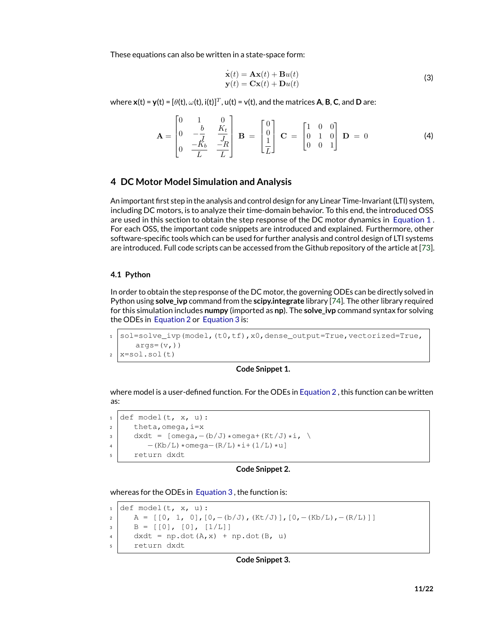These equations can also be written in a state-space form:

$$
\begin{aligned}\n\dot{\mathbf{x}}(t) &= \mathbf{A}\mathbf{x}(t) + \mathbf{B}u(t) \\
\mathbf{y}(t) &= \mathbf{C}\mathbf{x}(t) + \mathbf{D}u(t)\n\end{aligned}
$$
\n(3)

 $\mathbf{w}$ here  $\mathbf{x}(t) = \mathbf{y}(t) = [\theta(t), \omega(t), i(t)]^T$ ,  $\mathbf{u}(t) = \mathbf{v}(t)$ , and the matrices  $\mathbf{A}, \mathbf{B}, \mathbf{C},$  and  $\mathbf{D}$  are:

$$
\mathbf{A} = \begin{bmatrix} 0 & 1 & 0 \\ 0 & -\frac{b}{J} & \frac{K_t}{J_R} \\ 0 & \frac{-K_b}{L} & \frac{-R}{L} \end{bmatrix} \quad \mathbf{B} = \begin{bmatrix} 0 \\ 0 \\ \frac{1}{L} \end{bmatrix} \quad \mathbf{C} = \begin{bmatrix} 1 & 0 & 0 \\ 0 & 1 & 0 \\ 0 & 0 & 1 \end{bmatrix} \quad \mathbf{D} = 0 \tag{4}
$$

## **4 DC Motor Model Simulation and Analysis**

An important first step in the analysis and control design for any Linear Time-Invariant (LTI) system, including DC motors, is to analyze their time-domain behavior. To this end, the introduced OSS are used in this section to obtain the step response of the DC motor dynamics in [Equation 1](#page-9-1) . For each OSS, the important code snippets are introduced and explained. Furthermore, other software-specific tools which can be used for further analysis and control design of LTI systems are introduced. Full code scripts can be accessed from the Github repository of the article at [\[73\]](#page-21-5).

## **4.1 Python**

In order to obtain the step response of the DC motor, the governing ODEs can be directly solved in Python using **solve ivp** command from the **scipy.integrate** library [\[74\]](#page-21-6). The other library required for this simulation includes **numpy** (imported as **np**). The **solve\_ivp** command syntax for solving the ODEs in [Equation 2](#page-9-1) or [Equation 3](#page-9-1) is:

1 sol=solve\_ivp(model,(t0,tf),x0,dense\_output=True,vectorized=True,  $args=(v,))$  $2 \vert x=$ sol.sol $(t)$ 

## **Code Snippet 1.**

where model is a user-defined function. For the ODEs in [Equation 2](#page-9-1) , this function can be written as:

 $1 | \text{def model}(t, x, u)$ :  $2$  theta, omega,  $i=x$  $3 \mid$  dxdt = [omega, - (b/J) \*omega+(Kt/J) \*i, \  $4$  –(Kb/L)\*omega–(R/L)\*i+(1/L)\*u] <sup>5</sup> return dxdt

#### **Code Snippet 2.**

whereas for the ODEs in [Equation 3](#page-9-1) , the function is:

 $1 | \text{def model}(t, x, u)$ : 2 A =  $[0, 1, 0], [0,-(b/J),(Kt/J)],[0,-(Kb/L),-(R/L)]$  $3 \mid B = [[0], [0], [1/L]]$  $4 \mid$  dxdt = np.dot(A, x) + np.dot(B, u) <sup>5</sup> return dxdt

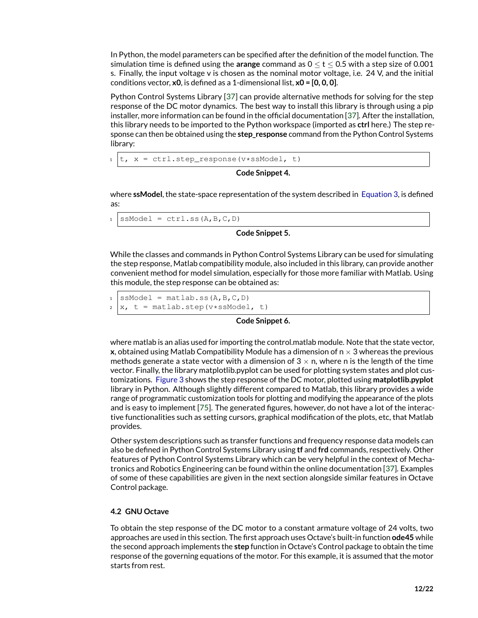In Python, the model parameters can be specified after the definition of the model function. The simulation time is defined using the **arange** command as 0 ≤ t ≤ 0.5 with a step size of 0.001 s. Finally, the input voltage v is chosen as the nominal motor voltage, i.e. 24 V, and the initial conditions vector, **x0**, is defined as a 1-dimensional list, **x0 = [0, 0, 0]**.

Python Control Systems Library [\[37\]](#page-19-10) can provide alternative methods for solving for the step response of the DC motor dynamics. The best way to install this library is through using a pip installer, more information can be found in the official documentation [\[37\]](#page-19-10). After the installation, this library needs to be imported to the Python workspace (imported as **ctrl** here.) The step response can then be obtained using the **step\_response** command from the Python Control Systems library:

```
t, x = \text{ctrl}.\text{step\_response}(v*s \text{SModel}, t)
```
**Code Snippet 4.**

where **ssModel**, the state-space representation of the system described in [Equation 3,](#page-9-1) is defined as:

 $1$  ssModel = ctrl.ss( $A$ , $B$ , $C$ , $D$ )

**Code Snippet 5.**

While the classes and commands in Python Control Systems Library can be used for simulating the step response, Matlab compatibility module, also included in this library, can provide another convenient method for model simulation, especially for those more familiar with Matlab. Using this module, the step response can be obtained as:

```
1 ssModel = matlab.ss(A, B, C, D)
2 \mid x, t = matlab.step(v*ssModel, t)
```
## **Code Snippet 6.**

where matlab is an alias used for importing the control.matlab module. Note that the state vector, **x**, obtained using Matlab Compatibility Module has a dimension of  $n \times 3$  whereas the previous methods generate a state vector with a dimension of  $3 \times n$ , where n is the length of the time vector. Finally, the library matplotlib.pyplot can be used for plotting system states and plot customizations. [Figure 3](#page-12-0) shows the step response of the DC motor, plotted using **matplotlib.pyplot** library in Python. Although slightly different compared to Matlab, this library provides a wide range of programmatic customization tools for plotting and modifying the appearance of the plots and is easy to implement [\[75\]](#page-21-7). The generated figures, however, do not have a lot of the interactive functionalities such as setting cursors, graphical modification of the plots, etc, that Matlab provides.

Other system descriptions such as transfer functions and frequency response data models can also be defined in Python Control Systems Library using **tf** and **frd** commands, respectively. Other features of Python Control Systems Library which can be very helpful in the context of Mechatronics and Robotics Engineering can be found within the online documentation [\[37\]](#page-19-10). Examples of some of these capabilities are given in the next section alongside similar features in Octave Control package.

## **4.2 GNU Octave**

To obtain the step response of the DC motor to a constant armature voltage of 24 volts, two approaches are used in this section. The first approach uses Octave's built-in function **ode45** while the second approach implements the **step** function in Octave's Control package to obtain the time response of the governing equations of the motor. For this example, it is assumed that the motor starts from rest.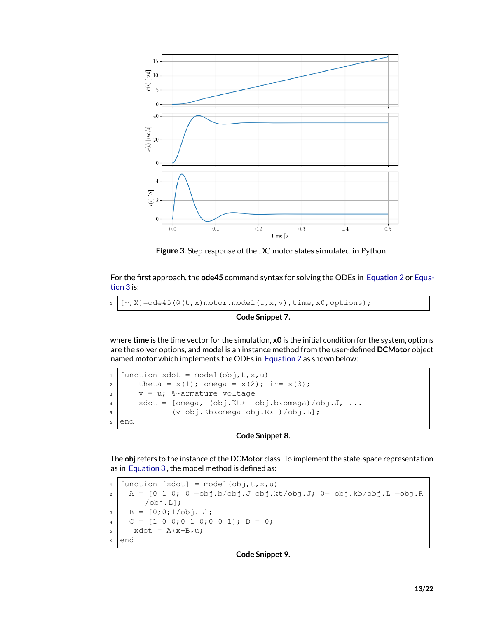

<span id="page-12-0"></span>**Figure 3.** Step response of the DC motor states simulated in Python.

For the first approach, the **ode45** command syntax for solving the ODEs in [Equation 2](#page-9-1) or [Equa](#page-9-1)[tion 3](#page-9-1) is:

```
1 \mid [\sim, X] =ode45(\theta(t,x)motor.model(t,x,v),time,x0,options);
```
## **Code Snippet 7.**

where **time** is the time vector for the simulation, **x0** is the initial condition for the system, options are the solver options, and model is an instance method from the user-defined **DCMotor** object named **motor** which implements the ODEs in [Equation 2](#page-9-1) as shown below:

1 function xdot = model(obj,t,x,u) 2 theta =  $x(1)$ ; omega =  $x(2)$ ; i  $= x(3)$ ;  $3$  v = u;  $8 \sim$ armature voltage <sup>4</sup> xdot = [omega, (obj.Kt\*i−obj.b\*omega)/obj.J, ... <sup>5</sup> (v−obj.Kb\*omega−obj.R\*i)/obj.L]; <sup>6</sup> end

## **Code Snippet 8.**

The **obj** refers to the instance of the DCMotor class. To implement the state-space representation as in [Equation 3](#page-9-1) , the model method is defined as:

1  $\text{function}$   $\text{[xdot]}$  = model(obj,  $t$ ,  $x$ ,  $u$ ) <sup>2</sup> A = [0 1 0; 0 −obj.b/obj.J obj.kt/obj.J; 0− obj.kb/obj.L −obj.R /obj.L];  $3 \mid B = [0; 0; 1/\text{obj.L}];$ <sup>4</sup> C = [1 0 0;0 1 0;0 0 1]; D = 0;  $5$  xdot =  $A \star x+B \star u$ ; <sup>6</sup> end

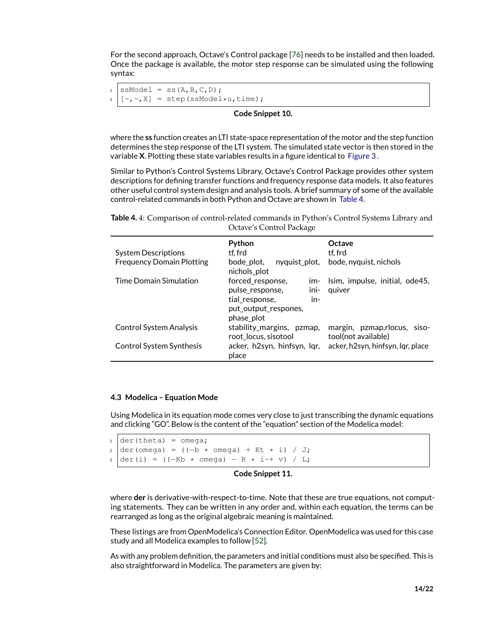For the second approach, Octave's Control package [\[76\]](#page-21-8) needs to be installed and then loaded. Once the package is available, the motor step response can be simulated using the following syntax:

```
ssModel = ss(A, B, C, D);2 \mid [\sim, \sim, X] = step(ssModel*u,time);
```
## **Code Snippet 10.**

where the **ss** function creates an LTI state-space representation of the motor and the step function determines the step response of the LTI system. The simulated state vector is then stored in the variable **X**. Plotting these state variables results in a figure identical to [Figure 3](#page-12-0) .

Similar to Python's Control Systems Library, Octave's Control Package provides other system descriptions for defining transfer functions and frequency response data models. It also features other useful control system design and analysis tools. A brief summary of some of the available control-related commands in both Python and Octave are shown in [Table 4.](#page-13-0)

<span id="page-13-0"></span>**Table 4.** 4: Comparison of control-related commands in Python's Control Systems Library and Octave's Control Package

| <b>System Descriptions</b>       | Python<br>tf. frd                                                                                                   | Octave<br>tf. frd                                   |
|----------------------------------|---------------------------------------------------------------------------------------------------------------------|-----------------------------------------------------|
| <b>Frequency Domain Plotting</b> | bode_plot,<br>nyquist_plot,<br>nichols plot                                                                         | bode, nyquist, nichols                              |
| <b>Time Domain Simulation</b>    | forced response,<br>$im-$<br>ini-<br>pulse response,<br>tial response,<br>in-<br>put_output_respones,<br>phase plot | Isim, impulse, initial, ode45,<br>quiver            |
| <b>Control System Analysis</b>   | stability_margins, pzmap,<br>root locus, sisotool                                                                   | margin, pzmap, rlocus, siso-<br>tool(not available) |
| Control System Synthesis         | acker, h2syn, hinfsyn, lgr,<br>place                                                                                | acker, h2syn, hinfsyn, Iqr, place                   |

#### **4.3 Modelica – Equation Mode**

Using Modelica in its equation mode comes very close to just transcribing the dynamic equations and clicking "GO". Below is the content of the "equation" section of the Modelica model:

 $1 | \text{der}(\text{theta}) = \text{omega}$  $2 \text{ der}(\text{omega}) = ((-b \star \text{omega}) + Kt \star i) / J;$  $3 \text{ der}(i) = ((-Kb * \text{omega}) - R * i^{-+} v) / L;$ 

#### **Code Snippet 11.**

where **der** is derivative-with-respect-to-time. Note that these are true equations, not computing statements. They can be written in any order and, within each equation, the terms can be rearranged as long as the original algebraic meaning is maintained.

These listings are from OpenModelica's Connection Editor. OpenModelica was used for this case study and all Modelica examples to follow [\[52\]](#page-20-4).

As with any problem definition, the parameters and initial conditions must also be specified. This is also straightforward in Modelica. The parameters are given by: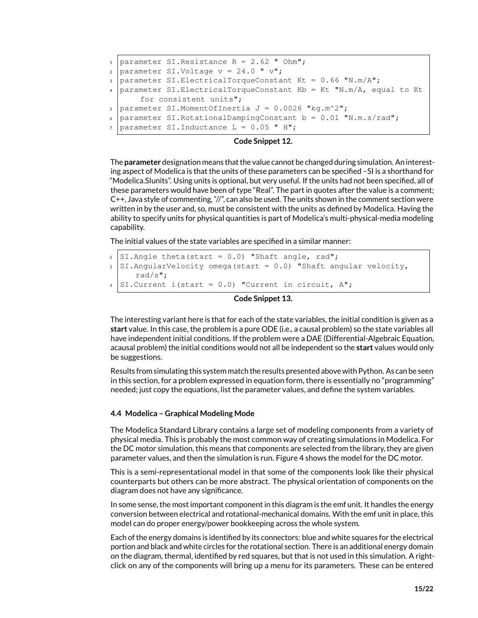```
1 parameter SI.Resistance R = 2.62 " Ohm";
2 | parameter SI.Voltage v = 24.0 " v";
3 parameter SI. ElectricalTorqueConstant Kt = 0.66 "N.m/A";
4 parameter SI.ElectricalTorqueConstant Kb = Kt "N.m/A, equal to Kt
      for consistent units";
s parameter SI.MomentOfInertia J = 0.0026 "kg.m^2";
6 parameter SI.RotationalDampingConstant b = 0.01 "N.m.s/rad";
  parameter SI.Inductance L = 0.05 " H";
```
## **Code Snippet 12.**

The **parameter** designation means that the value cannot be changed during simulation. An interesting aspect of Modelica is that the units of these parameters can be specified –SI is a shorthand for "Modelica.SIunits". Using units is optional, but very useful. If the units had not been specified, all of these parameters would have been of type "Real". The part in quotes after the value is a comment; C++, Java style of commenting, "//", can also be used. The units shown in the comment section were written in by the user and, so, must be consistent with the units as defined by Modelica. Having the ability to specify units for physical quantities is part of Modelica's multi-physical-media modeling capability.

The initial values of the state variables are specified in a similar manner:

```
1 SI.Angle theta(start = 0.0) "Shaft angle, rad";
2 \left| \text{SI.} \text{AngularVelocity} \right| omega(start = 0.0) "Shaft angular velocity,
      rad/s";
_3 SI.Current i(start = 0.0) "Current in circuit, A";
```
#### **Code Snippet 13.**

The interesting variant here is that for each of the state variables, the initial condition is given as a **start** value. In this case, the problem is a pure ODE (i.e., a causal problem) so the state variables all have independent initial conditions. If the problem were a DAE (Differential-Algebraic Equation, acausal problem) the initial conditions would not all be independent so the **start** values would only be suggestions.

Results from simulating this system match the results presented above with Python. As can be seen in this section, for a problem expressed in equation form, there is essentially no "programming" needed; just copy the equations, list the parameter values, and define the system variables.

#### **4.4 Modelica – Graphical Modeling Mode**

The Modelica Standard Library contains a large set of modeling components from a variety of physical media. This is probably the most common way of creating simulations in Modelica. For the DC motor simulation, this means that components are selected from the library, they are given parameter values, and then the simulation is run. Figure 4 shows the model for the DC motor.

This is a semi-representational model in that some of the components look like their physical counterparts but others can be more abstract. The physical orientation of components on the diagram does not have any significance.

In some sense, the most important component in this diagram is the emf unit. It handles the energy conversion between electrical and rotational-mechanical domains. With the emf unit in place, this model can do proper energy/power bookkeeping across the whole system.

Each of the energy domains is identified by its connectors: blue and white squares for the electrical portion and black and white circles for the rotational section. There is an additional energy domain on the diagram, thermal, identified by red squares, but that is not used in this simulation. A rightclick on any of the components will bring up a menu for its parameters. These can be entered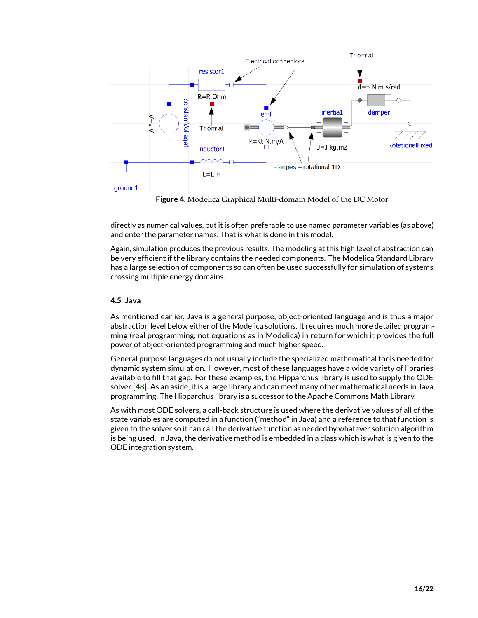

**Figure 4.** Modelica Graphical Multi-domain Model of the DC Motor

directly as numerical values, but it is often preferable to use named parameter variables (as above) and enter the parameter names. That is what is done in this model.

Again, simulation produces the previous results. The modeling at this high level of abstraction can be very efficient if the library contains the needed components. The Modelica Standard Library has a large selection of components so can often be used successfully for simulation of systems crossing multiple energy domains.

## **4.5 Java**

As mentioned earlier, Java is a general purpose, object-oriented language and is thus a major abstraction level below either of the Modelica solutions. It requires much more detailed programming (real programming, not equations as in Modelica) in return for which it provides the full power of object-oriented programming and much higher speed.

General purpose languages do not usually include the specialized mathematical tools needed for dynamic system simulation. However, most of these languages have a wide variety of libraries available to fill that gap. For these examples, the Hipparchus library is used to supply the ODE solver [\[48\]](#page-20-0). As an aside, it is a large library and can meet many other mathematical needs in Java programming. The Hipparchus library is a successor to the Apache Commons Math Library.

As with most ODE solvers, a call-back structure is used where the derivative values of all of the state variables are computed in a function ("method" in Java) and a reference to that function is given to the solver so it can call the derivative function as needed by whatever solution algorithm is being used. In Java, the derivative method is embedded in a class which is what is given to the ODE integration system.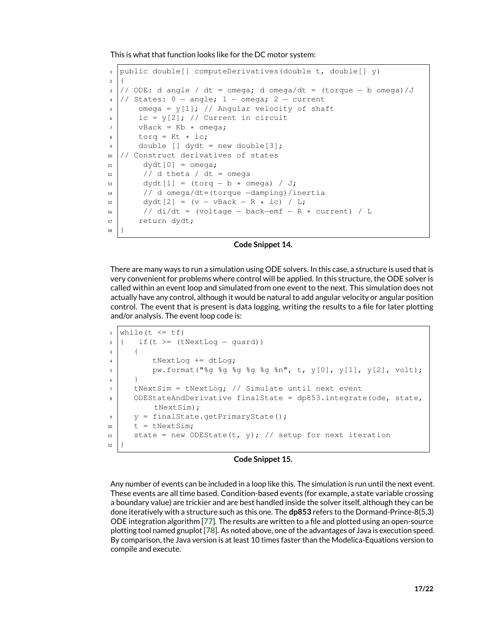This is what that function looks like for the DC motor system:

```
1 public double[] computeDerivatives(double t, double[] y)
2 {
3 // ODE: d angle / dt = omega; d omega/dt = (torque − b omega)/J
4 // States: 0 – angle; 1 – omega; 2 – current
5 omega = y[1]; // Angular velocity of shaft
6 \mid ic = y[2]; // Current in circuit
7 vBack = Kb * omega;
\frac{1}{8} torq = Kt * ic;
      double [j] dydt = new double[3];
10 // Construct derivatives of states
11 dydt[0] = omega;
12 // d theta / dt = omega
13 dydt[1] = (torq – b * omega) / J;
14 // d omega/dt=(torque −damping)/inertia
15 dydt[2] = (v - vBack – R * ic) / L;
16 // di/dt = (voltage – back–emf – R * current) / L
17 return dydt;
18 }
```
#### **Code Snippet 14.**

There are many ways to run a simulation using ODE solvers. In this case, a structure is used that is very convenient for problems where control will be applied. In this structure, the ODE solver is called within an event loop and simulated from one event to the next. This simulation does not actually have any control, although it would be natural to add angular velocity or angular position control. The event that is present is data logging, writing the results to a file for later plotting and/or analysis. The event loop code is:

```
1 while(t \leq tf)
2 { if(t >= (tNextLog – guard))
3 {
4 tNextLoq += dtLoq;
\mathfrak{s} pw.format("%g %g %g %g %n", t, y[0], y[1], y[2], volt);
6 }
7 tNextSim = tNextLog; // Simulate until next event
8 ODEStateAndDerivative finalState = dp853.integrate(ode, state,
         tNextSim);
9 \mid y = \text{finalState.getPrimaryState();}10 t = tNextSim;
11 | state = new ODEState(t, y); // setup for next iteration
12 }
```
## **Code Snippet 15.**

Any number of events can be included in a loop like this. The simulation is run until the next event. These events are all time based. Condition-based events (for example, a state variable crossing a boundary value) are trickier and are best handled inside the solver itself, although they can be done iteratively with a structure such as this one. The **dp853** refers to the Dormand-Prince-8(5,3) ODE integration algorithm [\[77\]](#page-21-9). The results are written to a file and plotted using an open-source plotting tool named gnuplot [\[78\]](#page-21-10). As noted above, one of the advantages of Java is execution speed. By comparison, the Java version is at least 10 times faster than the Modelica-Equations version to compile and execute.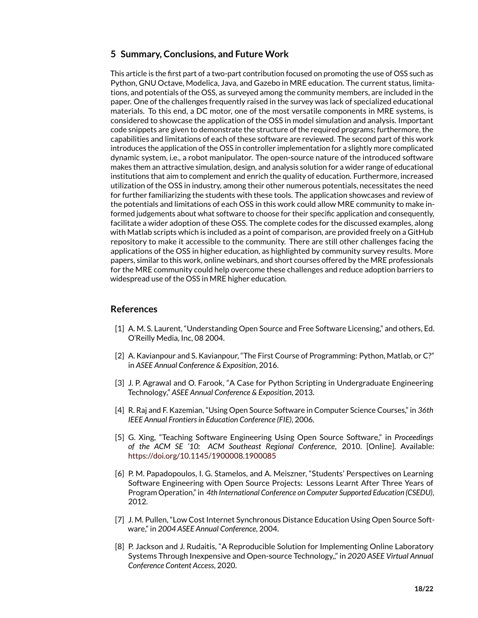# **5 Summary, Conclusions, and Future Work**

This article is the first part of a two-part contribution focused on promoting the use of OSS such as Python, GNU Octave, Modelica, Java, and Gazebo in MRE education. The current status, limitations, and potentials of the OSS, as surveyed among the community members, are included in the paper. One of the challenges frequently raised in the survey was lack of specialized educational materials. To this end, a DC motor, one of the most versatile components in MRE systems, is considered to showcase the application of the OSS in model simulation and analysis. Important code snippets are given to demonstrate the structure of the required programs; furthermore, the capabilities and limitations of each of these software are reviewed. The second part of this work introduces the application of the OSS in controller implementation for a slightly more complicated dynamic system, i.e., a robot manipulator. The open-source nature of the introduced software makes them an attractive simulation, design, and analysis solution for a wider range of educational institutions that aim to complement and enrich the quality of education. Furthermore, increased utilization of the OSS in industry, among their other numerous potentials, necessitates the need for further familiarizing the students with these tools. The application showcases and review of the potentials and limitations of each OSS in this work could allow MRE community to make informed judgements about what software to choose for their specific application and consequently, facilitate a wider adoption of these OSS. The complete codes for the discussed examples, along with Matlab scripts which is included as a point of comparison, are provided freely on a GitHub repository to make it accessible to the community. There are still other challenges facing the applications of the OSS in higher education, as highlighted by community survey results. More papers, similar to this work, online webinars, and short courses offered by the MRE professionals for the MRE community could help overcome these challenges and reduce adoption barriers to widespread use of the OSS in MRE higher education.

# **References**

- <span id="page-17-0"></span>[1] A. M. S. Laurent, "Understanding Open Source and Free Software Licensing," and others, Ed. O'Reilly Media, Inc, 08 2004.
- <span id="page-17-1"></span>[2] A. Kavianpour and S. Kavianpour, "The First Course of Programming: Python, Matlab, or C?" in *ASEE Annual Conference & Exposition*, 2016.
- <span id="page-17-2"></span>[3] J. P. Agrawal and O. Farook, "A Case for Python Scripting in Undergraduate Engineering Technology," *ASEE Annual Conference & Exposition*, 2013.
- <span id="page-17-3"></span>[4] R. Raj and F. Kazemian, "Using Open Source Software in Computer Science Courses," in *36th IEEE Annual Frontiers in Education Conference (FIE)*, 2006.
- <span id="page-17-4"></span>[5] G. Xing, "Teaching Software Engineering Using Open Source Software," in *Proceedings of the ACM SE '10: ACM Southeast Regional Conference*, 2010. [Online]. Available: <https://doi.org/10.1145/1900008.1900085>
- <span id="page-17-5"></span>[6] P. M. Papadopoulos, I. G. Stamelos, and A. Meiszner, "Students' Perspectives on Learning Software Engineering with Open Source Projects: Lessons Learnt After Three Years of Program Operation," in *4th International Conference on Computer Supported Education (CSEDU)*, 2012.
- <span id="page-17-6"></span>[7] J. M. Pullen, "Low Cost Internet Synchronous Distance Education Using Open Source Software," in *2004 ASEE Annual Conference*, 2004.
- <span id="page-17-7"></span>[8] P. Jackson and J. Rudaitis, "A Reproducible Solution for Implementing Online Laboratory Systems Through Inexpensive and Open-source Technology,," in *2020 ASEE Virtual Annual Conference Content Access*, 2020.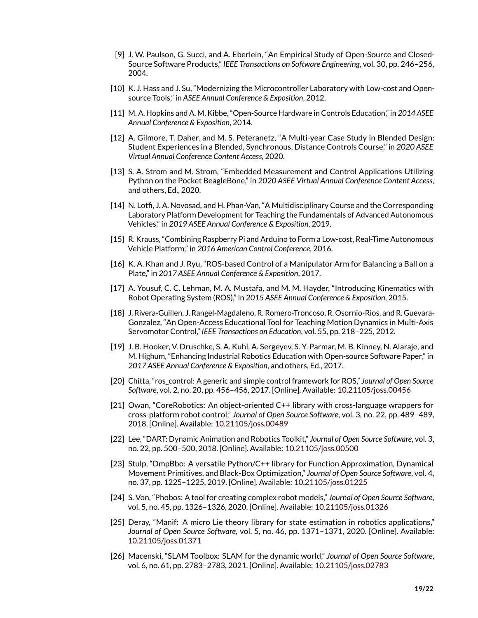- <span id="page-18-0"></span>[9] J. W. Paulson, G. Succi, and A. Eberlein, "An Empirical Study of Open-Source and Closed-Source Software Products," *IEEE Transactions on Software Engineering*, vol. 30, pp. 246–256, 2004.
- <span id="page-18-1"></span>[10] K. J. Hass and J. Su, "Modernizing the Microcontroller Laboratory with Low-cost and Opensource Tools," in *ASEE Annual Conference & Exposition*, 2012.
- <span id="page-18-2"></span>[11] M. A. Hopkins and A. M. Kibbe, "Open-Source Hardware in Controls Education," in *2014 ASEE Annual Conference & Exposition*, 2014.
- [12] A. Gilmore, T. Daher, and M. S. Peteranetz, "A Multi-year Case Study in Blended Design: Student Experiences in a Blended, Synchronous, Distance Controls Course," in *2020 ASEE Virtual Annual Conference Content Access*, 2020.
- <span id="page-18-3"></span>[13] S. A. Strom and M. Strom, "Embedded Measurement and Control Applications Utilizing Python on the Pocket BeagleBone," in *2020 ASEE Virtual Annual Conference Content Access*, and others, Ed., 2020.
- <span id="page-18-4"></span>[14] N. Lotfi, J. A. Novosad, and H. Phan-Van, "A Multidisciplinary Course and the Corresponding Laboratory Platform Development for Teaching the Fundamentals of Advanced Autonomous Vehicles," in *2019 ASEE Annual Conference & Exposition*, 2019.
- [15] R. Krauss, "Combining Raspberry Pi and Arduino to Form a Low-cost, Real-Time Autonomous Vehicle Platform," in *2016 American Control Conference*, 2016.
- [16] K. A. Khan and J. Ryu, "ROS-based Control of a Manipulator Arm for Balancing a Ball on a Plate," in *2017 ASEE Annual Conference & Exposition*, 2017.
- <span id="page-18-5"></span>[17] A. Yousuf, C. C. Lehman, M. A. Mustafa, and M. M. Hayder, "Introducing Kinematics with Robot Operating System (ROS)," in *2015 ASEE Annual Conference & Exposition*, 2015.
- <span id="page-18-6"></span>[18] J. Rivera-Guillen, J. Rangel-Magdaleno, R. Romero-Troncoso, R. Osornio-Rios, and R. Guevara-Gonzalez, "An Open-Access Educational Tool for Teaching Motion Dynamics in Multi-Axis Servomotor Control," *IEEE Transactions on Education*, vol. 55, pp. 218–225, 2012.
- <span id="page-18-7"></span>[19] J. B. Hooker, V. Druschke, S. A. Kuhl, A. Sergeyev, S. Y. Parmar, M. B. Kinney, N. Alaraje, and M. Highum, "Enhancing Industrial Robotics Education with Open-source Software Paper," in *2017 ASEE Annual Conference & Exposition*, and others, Ed., 2017.
- <span id="page-18-8"></span>[20] Chitta, "ros\_control: A generic and simple control framework for ROS," *Journal of Open Source Software*, vol. 2, no. 20, pp. 456–456, 2017. [Online]. Available: <10.21105/joss.00456>
- <span id="page-18-9"></span>[21] Owan, "CoreRobotics: An object-oriented C++ library with cross-language wrappers for cross-platform robot control," *Journal of Open Source Software*, vol. 3, no. 22, pp. 489–489, 2018. [Online]. Available: <10.21105/joss.00489>
- <span id="page-18-10"></span>[22] Lee, "DART: Dynamic Animation and Robotics Toolkit," *Journal of Open Source Software*, vol. 3, no. 22, pp. 500–500, 2018. [Online]. Available: <10.21105/joss.00500>
- <span id="page-18-11"></span>[23] Stulp, "DmpBbo: A versatile Python/C++ library for Function Approximation, Dynamical Movement Primitives, and Black-Box Optimization," *Journal of Open Source Software*, vol. 4, no. 37, pp. 1225–1225, 2019. [Online]. Available: <10.21105/joss.01225>
- <span id="page-18-12"></span>[24] S. Von, "Phobos: A tool for creating complex robot models," *Journal of Open Source Software*, vol. 5, no. 45, pp. 1326–1326, 2020. [Online]. Available: <10.21105/joss.01326>
- <span id="page-18-13"></span>[25] Deray, "Manif: A micro Lie theory library for state estimation in robotics applications," *Journal of Open Source Software*, vol. 5, no. 46, pp. 1371–1371, 2020. [Online]. Available: <10.21105/joss.01371>
- <span id="page-18-14"></span>[26] Macenski, "SLAM Toolbox: SLAM for the dynamic world," *Journal of Open Source Software*, vol. 6, no. 61, pp. 2783–2783, 2021. [Online]. Available: <10.21105/joss.02783>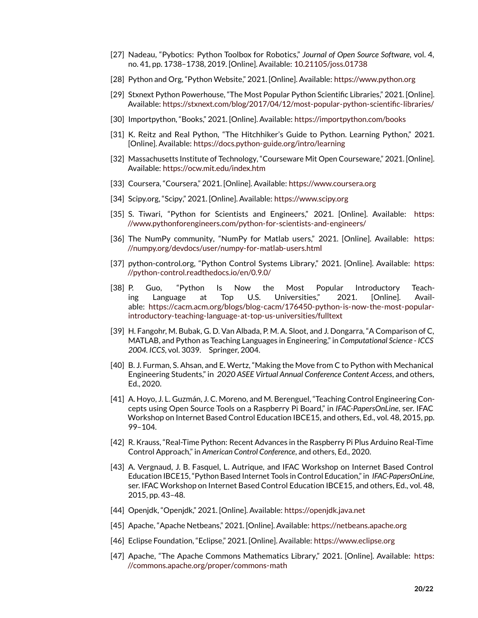- <span id="page-19-0"></span>[27] Nadeau, "Pybotics: Python Toolbox for Robotics," *Journal of Open Source Software*, vol. 4, no. 41, pp. 1738–1738, 2019. [Online]. Available: <10.21105/joss.01738>
- <span id="page-19-1"></span>[28] Python and Org, "Python Website," 2021. [Online]. Available: <https://www.python.org>
- <span id="page-19-2"></span>[29] Stxnext Python Powerhouse, "The Most Popular Python Scientific Libraries," 2021. [Online]. Available: <https://stxnext.com/blog/2017/04/12/most-popular-python-scientific-libraries/>
- <span id="page-19-3"></span>[30] Importpython, "Books," 2021. [Online]. Available: <https://importpython.com/books>
- <span id="page-19-4"></span>[31] K. Reitz and Real Python, "The Hitchhiker's Guide to Python. Learning Python," 2021. [Online]. Available: <https://docs.python-guide.org/intro/learning>
- <span id="page-19-5"></span>[32] Massachusetts Institute of Technology, "Courseware Mit Open Courseware," 2021. [Online]. Available: <https://ocw.mit.edu/index.htm>
- <span id="page-19-6"></span>[33] Coursera, "Coursera," 2021. [Online]. Available: <https://www.coursera.org>
- <span id="page-19-7"></span>[34] Scipy.org, "Scipy," 2021. [Online]. Available: <https://www.scipy.org>
- <span id="page-19-8"></span>[35] S. Tiwari, "Python for Scientists and Engineers," 2021. [Online]. Available: [https:](https://www.pythonforengineers.com/python-for-scientists-and-engineers/) [//www.pythonforengineers.com/python-for-scientists-and-engineers/](https://www.pythonforengineers.com/python-for-scientists-and-engineers/)
- <span id="page-19-9"></span>[36] The NumPy community, "NumPy for Matlab users," 2021. [Online]. Available: [https:](https://numpy.org/devdocs/user/numpy-for-matlab-users.html) [//numpy.org/devdocs/user/numpy-for-matlab-users.html](https://numpy.org/devdocs/user/numpy-for-matlab-users.html)
- <span id="page-19-10"></span>[37] python-control.org, "Python Control Systems Library," 2021. [Online]. Available: [https:](https://python-control.readthedocs.io/en/0.9.0/) [//python-control.readthedocs.io/en/0.9.0/](https://python-control.readthedocs.io/en/0.9.0/)
- <span id="page-19-11"></span>[38] P. Guo, "Python Is Now the Most Popular Introductory Teaching Language at Top U.S. Universities," 2021. [Online]. Available: [https://cacm.acm.org/blogs/blog-cacm/176450-python-is-now-the-most-popular](https://cacm.acm.org/blogs/blog-cacm/176450-python-is-now-the-most-popular-introductory-teaching-language-at-top-us-universities/fulltext)[introductory-teaching-language-at-top-us-universities/fulltext](https://cacm.acm.org/blogs/blog-cacm/176450-python-is-now-the-most-popular-introductory-teaching-language-at-top-us-universities/fulltext)
- <span id="page-19-12"></span>[39] H. Fangohr, M. Bubak, G. D. Van Albada, P. M. A. Sloot, and J. Dongarra, "A Comparison of C, MATLAB, and Python as Teaching Languages in Engineering," in *Computational Science - ICCS 2004. ICCS*, vol. 3039. Springer, 2004.
- <span id="page-19-13"></span>[40] B. J. Furman, S. Ahsan, and E. Wertz, "Making the Move from C to Python with Mechanical Engineering Students," in *2020 ASEE Virtual Annual Conference Content Access*, and others, Ed., 2020.
- <span id="page-19-14"></span>[41] A. Hoyo, J. L. Guzmán, J. C. Moreno, and M. Berenguel, "Teaching Control Engineering Concepts using Open Source Tools on a Raspberry Pi Board," in *IFAC-PapersOnLine*, ser. IFAC Workshop on Internet Based Control Education IBCE15, and others, Ed., vol. 48, 2015, pp. 99–104.
- <span id="page-19-15"></span>[42] R. Krauss, "Real-Time Python: Recent Advances in the Raspberry Pi Plus Arduino Real-Time Control Approach," in *American Control Conference*, and others, Ed., 2020.
- <span id="page-19-16"></span>[43] A. Vergnaud, J. B. Fasquel, L. Autrique, and IFAC Workshop on Internet Based Control Education IBCE15, "Python Based Internet Tools in Control Education," in *IFAC-PapersOnLine*, ser. IFAC Workshop on Internet Based Control Education IBCE15, and others, Ed., vol. 48, 2015, pp. 43–48.
- <span id="page-19-17"></span>[44] Openjdk, "Openjdk," 2021. [Online]. Available: <https://openjdk.java.net>
- <span id="page-19-18"></span>[45] Apache, "Apache Netbeans," 2021. [Online]. Available: <https://netbeans.apache.org>
- <span id="page-19-19"></span>[46] Eclipse Foundation, "Eclipse," 2021. [Online]. Available: <https://www.eclipse.org>
- <span id="page-19-20"></span>[47] Apache, "The Apache Commons Mathematics Library," 2021. [Online]. Available: [https:](https://commons.apache.org/proper/commons-math) [//commons.apache.org/proper/commons-math](https://commons.apache.org/proper/commons-math)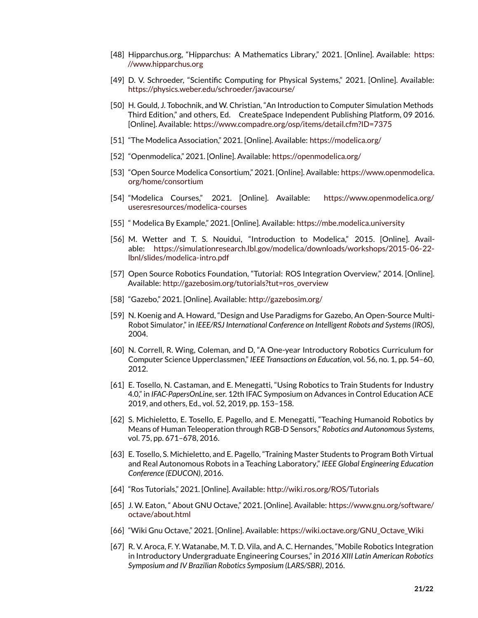- <span id="page-20-0"></span>[48] Hipparchus.org, "Hipparchus: A Mathematics Library," 2021. [Online]. Available: [https:](https://www.hipparchus.org) [//www.hipparchus.org](https://www.hipparchus.org)
- <span id="page-20-1"></span>[49] D. V. Schroeder, "Scientific Computing for Physical Systems," 2021. [Online]. Available: <https://physics.weber.edu/schroeder/javacourse/>
- <span id="page-20-2"></span>[50] H. Gould, J. Tobochnik, and W. Christian, "An Introduction to Computer Simulation Methods Third Edition," and others, Ed. CreateSpace Independent Publishing Platform, 09 2016. [Online]. Available: <https://www.compadre.org/osp/items/detail.cfm?ID=7375>
- <span id="page-20-3"></span>[51] "The Modelica Association," 2021. [Online]. Available: <https://modelica.org/>
- <span id="page-20-4"></span>[52] "Openmodelica," 2021. [Online]. Available: <https://openmodelica.org/>
- <span id="page-20-5"></span>[53] "Open Source Modelica Consortium," 2021. [Online]. Available: [https://www.openmodelica.](https://www.openmodelica.org/home/consortium) [org/home/consortium](https://www.openmodelica.org/home/consortium)
- <span id="page-20-6"></span>[54] "Modelica Courses," 2021. [Online]. Available: [https://www.openmodelica.org/](https://www.openmodelica.org/useresresources/modelica-courses) [useresresources/modelica-courses](https://www.openmodelica.org/useresresources/modelica-courses)
- <span id="page-20-7"></span>[55] " Modelica By Example," 2021. [Online]. Available: <https://mbe.modelica.university>
- <span id="page-20-8"></span>[56] M. Wetter and T. S. Nouidui, "Introduction to Modelica," 2015. [Online]. Available: [https://simulationresearch.lbl.gov/modelica/downloads/workshops/2015-06-22](https://simulationresearch.lbl.gov/modelica/downloads/workshops/2015-06-22-lbnl/slides/modelica-intro.pdf) [lbnl/slides/modelica-intro.pdf](https://simulationresearch.lbl.gov/modelica/downloads/workshops/2015-06-22-lbnl/slides/modelica-intro.pdf)
- <span id="page-20-9"></span>[57] Open Source Robotics Foundation, "Tutorial: ROS Integration Overview," 2014. [Online]. Available: [http://gazebosim.org/tutorials?tut=ros\\_overview](http://gazebosim.org/tutorials?tut=ros_overview)
- <span id="page-20-10"></span>[58] "Gazebo," 2021. [Online]. Available: <http://gazebosim.org/>
- <span id="page-20-11"></span>[59] N. Koenig and A. Howard, "Design and Use Paradigms for Gazebo, An Open-Source Multi-Robot Simulator," in *IEEE/RSJ International Conference on Intelligent Robots and Systems (IROS)*, 2004.
- <span id="page-20-12"></span>[60] N. Correll, R. Wing, Coleman, and D, "A One-year Introductory Robotics Curriculum for Computer Science Upperclassmen," *IEEE Transactions on Education*, vol. 56, no. 1, pp. 54–60, 2012.
- <span id="page-20-13"></span>[61] E. Tosello, N. Castaman, and E. Menegatti, "Using Robotics to Train Students for Industry 4.0," in *IFAC-PapersOnLine*, ser. 12th IFAC Symposium on Advances in Control Education ACE 2019, and others, Ed., vol. 52, 2019, pp. 153–158.
- <span id="page-20-14"></span>[62] S. Michieletto, E. Tosello, E. Pagello, and E. Menegatti, "Teaching Humanoid Robotics by Means of Human Teleoperation through RGB-D Sensors," *Robotics and Autonomous Systems*, vol. 75, pp. 671–678, 2016.
- <span id="page-20-15"></span>[63] E. Tosello, S. Michieletto, and E. Pagello, "Training Master Students to Program Both Virtual and Real Autonomous Robots in a Teaching Laboratory," *IEEE Global Engineering Education Conference (EDUCON)*, 2016.
- <span id="page-20-16"></span>[64] "Ros Tutorials," 2021. [Online]. Available: <http://wiki.ros.org/ROS/Tutorials>
- <span id="page-20-17"></span>[65] J. W. Eaton, " About GNU Octave," 2021. [Online]. Available: [https://www.gnu.org/software/](https://www.gnu.org/software/octave/about.html) [octave/about.html](https://www.gnu.org/software/octave/about.html)
- <span id="page-20-18"></span>[66] "Wiki Gnu Octave," 2021. [Online]. Available: [https://wiki.octave.org/GNU\\_Octave\\_Wiki](https://wiki.octave.org/GNU_Octave_Wiki)
- <span id="page-20-19"></span>[67] R. V. Aroca, F. Y. Watanabe, M. T. D. Vila, and A. C. Hernandes, "Mobile Robotics Integration in Introductory Undergraduate Engineering Courses," in *2016 XIII Latin American Robotics Symposium and IV Brazilian Robotics Symposium (LARS/SBR)*, 2016.